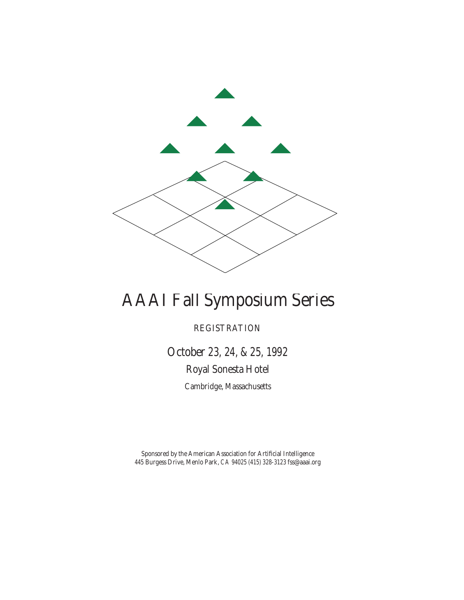

# AAAI Fall Symposium Series

REGISTRATION

October 23, 24, & 25, 1992 Royal Sonesta Hotel Cambridge, Massachusetts

Sponsored by the American Association for Artificial Intelligence 445 Burgess Drive, Menlo Park, CA 94025 (415) 328-3123 fss@aaai.org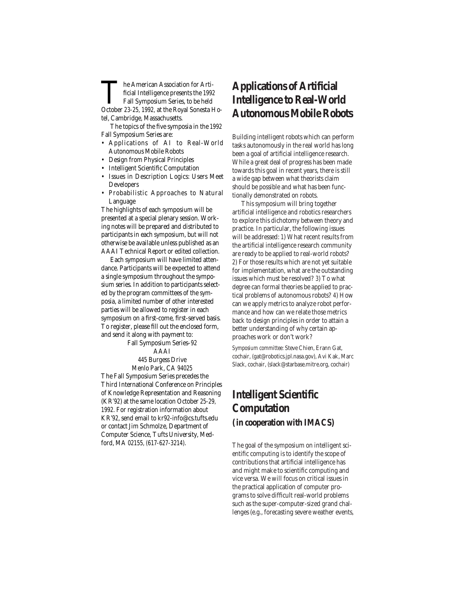The American Association for Artificial Intelligence presents the 1992<br>Fall Symposium Series, to be held<br>October 23-25. 1992. at the Roval Sonesta H ficial Intelligence presents the 1992 Fall Symposium Series, to be held October 23-25, 1992, at the Royal Sonesta Hotel, Cambridge, Massachusetts.

The topics of the five symposia in the 1992 Fall Symposium Series are:

- Applications of AI to Real-World Autonomous Mobile Robots
- Design from Physical Principles
- Intelligent Scientific Computation
- Issues in Description Logics: Users Meet Developers
- Probabilistic Approaches to Natural Language

The highlights of each symposium will be presented at a special plenary session. Working notes will be prepared and distributed to participants in each symposium, but will not otherwise be available unless published as an AAAI Technical Report or edited collection.

Each symposium will have limited attendance. Participants will be expected to attend a single symposium throughout the symposium series. In addition to participants selected by the program committees of the symposia, a limited number of other interested parties will be allowed to register in each symposium on a first-come, first-served basis. To register, please fill out the enclosed form, and send it along with payment to:

Fall Symposium Series–92 AAAI

#### 445 Burgess Drive Menlo Park, CA 94025

The Fall Symposium Series precedes the Third International Conference on Principles of Knowledge Representation and Reasoning (KR'92) at the same location October 25-29, 1992. For registration information about KR'92, send email to kr92-info@cs.tufts.edu or contact Jim Schmolze, Department of Computer Science, Tufts University, Medford, MA 02155, (617-627-3214).

### **Applications of Artificial Intelligence to Real-World Autonomous Mobile Robots**

Building intelligent robots which can perform tasks autonomously in the real world has long been a goal of artificial intelligence research. While a great deal of progress has been made towards this goal in recent years, there is still a wide gap between what theorists claim should be possible and what has been functionally demonstrated on robots.

This symposium will bring together artificial intelligence and robotics researchers to explore this dichotomy between theory and practice. In particular, the following issues will be addressed: 1) What recent results from the artificial intelligence research community are ready to be applied to real-world robots? 2) For those results which are not yet suitable for implementation, what are the outstanding issues which must be resolved? 3) To what degree can formal theories be applied to practical problems of autonomous robots? 4) How can we apply metrics to analyze robot performance and how can we relate those metrics back to design principles in order to attain a better understanding of why certain approaches work or don't work?

*Symposium committee:* Steve Chien, Erann Gat, cochair, (gat@robotics.jpl.nasa.gov), Avi Kak, Marc Slack, cochair, (slack@starbase.mitre.org, cochair)

### **Intelligent Scientific Computation (in cooperation with IMACS)**

The goal of the symposium on intelligent scientific computing is to identify the scope of contributions that artificial intelligence has and might make to scientific computing and vice versa. We will focus on critical issues in the practical application of computer programs to solve difficult real-world problems such as the super-computer-sized grand challenges (e.g., forecasting severe weather events,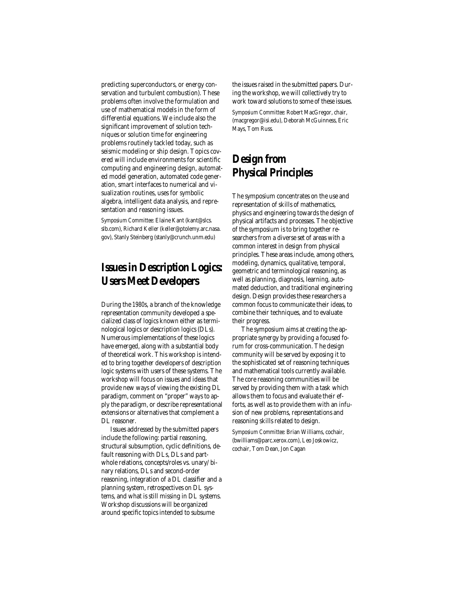predicting superconductors, or energy conservation and turbulent combustion). These problems often involve the formulation and use of mathematical models in the form of differential equations. We include also the significant improvement of solution techniques or solution time for engineering problems routinely tackled today, such as seismic modeling or ship design. Topics covered will include environments for scientific computing and engineering design, automated model generation, automated code generation, smart interfaces to numerical and visualization routines, uses for symbolic algebra, intelligent data analysis, and representation and reasoning issues.

*Symposium Committee:* Elaine Kant (kant@slcs. slb.com), Richard Keller (keller@ptolemy.arc.nasa. gov), Stanly Steinberg (stanly@crunch.unm.edu)

### **Issues in Description Logics: Users Meet Developers**

During the 1980s, a branch of the knowledge representation community developed a specialized class of logics known either as terminological logics or description logics (DLs). Numerous implementations of these logics have emerged, along with a substantial body of theoretical work. This workshop is intended to bring together developers of description logic systems with users of these systems. The workshop will focus on issues and ideas that provide new ways of viewing the existing DL paradigm, comment on "proper" ways to apply the paradigm, or describe representational extensions or alternatives that complement a DL reasoner.

Issues addressed by the submitted papers include the following: partial reasoning, structural subsumption, cyclic definitions, default reasoning with DLs, DLs and partwhole relations, concepts/roles vs. unary/ binary relations, DLs and second-order reasoning, integration of a DL classifier and a planning system, retrospectives on DL systems, and what is still missing in DL systems. Workshop discussions will be organized around specific topics intended to subsume

the issues raised in the submitted papers. During the workshop, we will collectively try to work toward solutions to some of these issues. *Symposium Committee:* Robert MacGregor, chair, (macgregor@isi.edu), Deborah McGuinness, Eric Mays, Tom Russ.

### **Design from Physical Principles**

The symposium concentrates on the use and representation of skills of mathematics, physics and engineering towards the design of physical artifacts and processes. The objective of the symposium is to bring together researchers from a diverse set of areas with a common interest in design from physical principles. These areas include, among others, modeling, dynamics, qualitative, temporal, geometric and terminological reasoning, as well as planning, diagnosis, learning, automated deduction, and traditional engineering design. Design provides these researchers a common focus to communicate their ideas, to combine their techniques, and to evaluate their progress.

The symposium aims at creating the appropriate synergy by providing a focused forum for cross-communication. The design community will be served by exposing it to the sophisticated set of reasoning techniques and mathematical tools currently available. The core reasoning communities will be served by providing them with a task which allows them to focus and evaluate their efforts, as well as to provide them with an infusion of new problems, representations and reasoning skills related to design.

*Symposium Committee:* Brian Williams, cochair, (bwilliams@parc.xerox.com), Leo Joskowicz, cochair, Tom Dean, Jon Cagan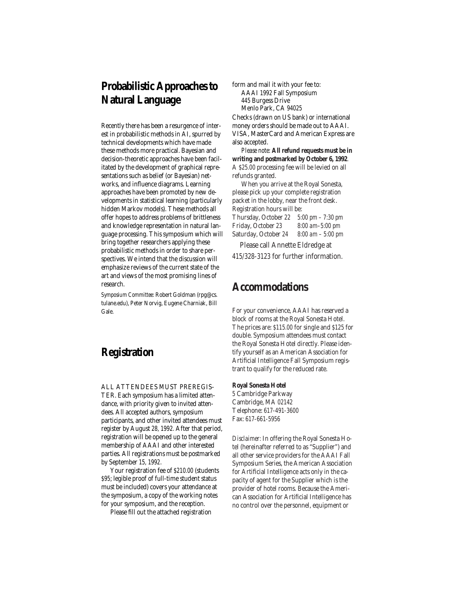### **Probabilistic Approaches to Natural Language**

Recently there has been a resurgence of interest in probabilistic methods in AI, spurred by technical developments which have made these methods more practical. Bayesian and decision-theoretic approaches have been facilitated by the development of graphical representations such as belief (or Bayesian) networks, and influence diagrams. Learning approaches have been promoted by new developments in statistical learning (particularly hidden Markov models). These methods all offer hopes to address problems of brittleness and knowledge representation in natural language processing. This symposium which will bring together researchers applying these probabilistic methods in order to share perspectives. We intend that the discussion will emphasize reviews of the current state of the art and views of the most promising lines of research.

*Symposium Committee:* Robert Goldman (rpg@cs. tulane.edu), Peter Norvig, Eugene Charniak, Bill Gale.

### **Registration**

ALL ATTENDEES MUST PREREGIS-TER. Each symposium has a limited attendance, with priority given to invited attendees. All accepted authors, symposium participants, and other invited attendees must register by August 28, 1992. After that period, registration will be opened up to the general membership of AAAI and other interested parties. All registrations must be postmarked by September 15, 1992.

Your registration fee of \$210.00 (students \$95; legible proof of full-time student status must be included) covers your attendance at the symposium, a copy of the working notes for your symposium, and the reception.

Please fill out the attached registration

form and mail it with your fee to: AAAI 1992 Fall Symposium 445 Burgess Drive Menlo Park, CA 94025 Checks (drawn on US bank) or international

money orders should be made out to AAAI. VISA, MasterCard and American Express are also accepted.

*Please note:* **All refund requests must be in writing and postmarked by October 6, 1992**. A \$25.00 processing fee will be levied on all refunds granted.

When you arrive at the Royal Sonesta, please pick up your complete registration packet in the lobby, near the front desk. Registration hours will be: Thursday, October 22 5:00 pm – 7:30 pm Friday, October 23 8:00 am–5:00 pm Saturday, October 24 8:00 am – 5:00 pm

Please call Annette Eldredge at

415/328-3123 for further information.

### **Accommodations**

For your convenience, AAAI has reserved a block of rooms at the Royal Sonesta Hotel. The prices are: \$115.00 for single and \$125 for double. Symposium attendees must contact the Royal Sonesta Hotel directly. Please identify yourself as an American Association for Artificial Intelligence Fall Symposium registrant to qualify for the reduced rate.

#### **Royal Sonesta Hotel**

5 Cambridge Parkway Cambridge, MA 02142 Telephone: 617-491-3600 Fax: 617-661-5956

*Disclaimer:* In offering the Royal Sonesta Hotel (hereinafter referred to as "Supplier") and all other service providers for the AAAI Fall Symposium Series, the American Association for Artificial Intelligence acts only in the capacity of agent for the Supplier which is the provider of hotel rooms. Because the American Association for Artificial Intelligence has no control over the personnel, equipment or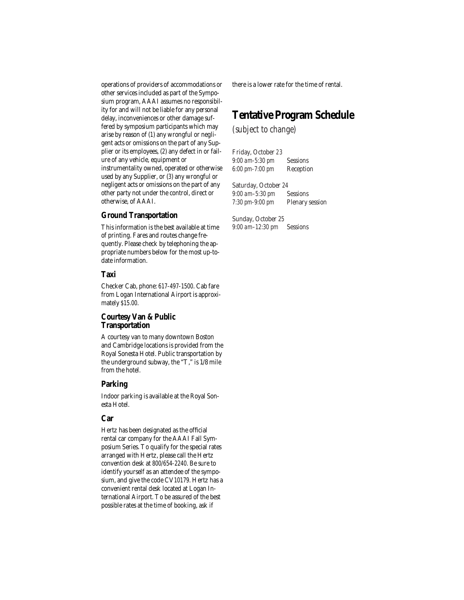operations of providers of accommodations or other services included as part of the Symposium program, AAAI assumes no responsibility for and will not be liable for any personal delay, inconveniences or other damage suffered by symposium participants which may arise by reason of (1) any wrongful or negligent acts or omissions on the part of any Supplier or its employees, (2) any defect in or failure of any vehicle, equipment or instrumentality owned, operated or otherwise used by any Supplier, or (3) any wrongful or negligent acts or omissions on the part of any other party not under the control, direct or otherwise, of AAAI.

#### **Ground Transportation**

This information is the best available at time of printing. Fares and routes change frequently. Please check by telephoning the appropriate numbers below for the most up-todate information.

#### **Taxi**

Checker Cab, phone: 617-497-1500. Cab fare from Logan International Airport is approximately \$15.00.

#### **Courtesy Van & Public Transportation**

A courtesy van to many downtown Boston and Cambridge locations is provided from the Royal Sonesta Hotel. Public transportation by the underground subway, the "T," is 1/8 mile from the hotel.

#### **Parking**

Indoor parking is available at the Royal Sonesta Hotel.

### **Car**

Hertz has been designated as the official rental car company for the AAAI Fall Symposium Series. To qualify for the special rates arranged with Hertz, please call the Hertz convention desk at 800/654-2240. Be sure to identify yourself as an attendee of the symposium, and give the code CV10179. Hertz has a convenient rental desk located at Logan International Airport. To be assured of the best possible rates at the time of booking, ask if

there is a lower rate for the time of rental.

### **Tentative Program Schedule**

#### *(subject to change)*

Friday, October 23 9:00 am-5:30 pm Sessions 6:00 pm-7:00 pm Reception

Saturday, October 24 9:00 am–5:30 pm Sessions 7:30 pm-9:00 pm Plenary session

Sunday, October 25 9:00 am–12:30 pm Sessions